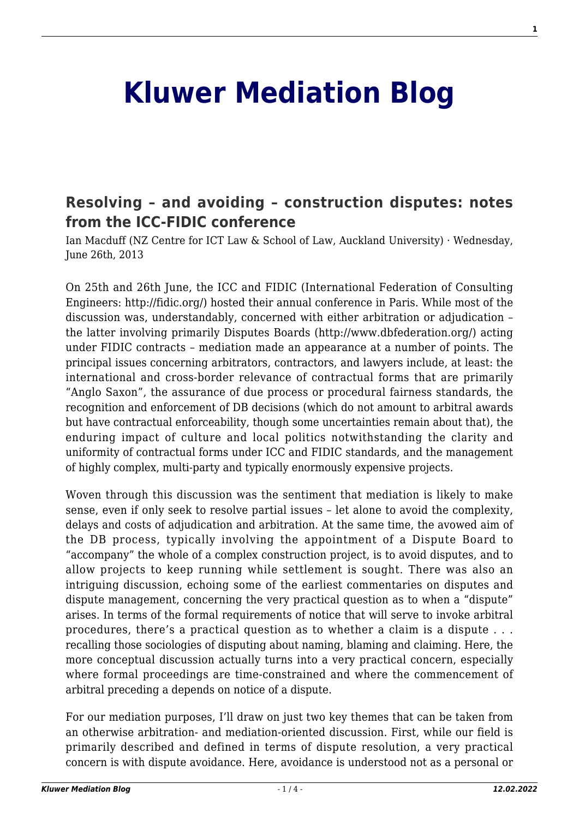## **[Kluwer Mediation Blog](http://mediationblog.kluwerarbitration.com/)**

## **[Resolving – and avoiding – construction disputes: notes](http://mediationblog.kluwerarbitration.com/2013/06/26/resolving-and-avoiding-construction-disputes-notes-from-the-icc-fidic-conference/) [from the ICC-FIDIC conference](http://mediationblog.kluwerarbitration.com/2013/06/26/resolving-and-avoiding-construction-disputes-notes-from-the-icc-fidic-conference/)**

Ian Macduff (NZ Centre for ICT Law & School of Law, Auckland University) · Wednesday, June 26th, 2013

On 25th and 26th June, the ICC and FIDIC (International Federation of Consulting Engineers: http://fidic.org/) hosted their annual conference in Paris. While most of the discussion was, understandably, concerned with either arbitration or adjudication – the latter involving primarily Disputes Boards (http://www.dbfederation.org/) acting under FIDIC contracts – mediation made an appearance at a number of points. The principal issues concerning arbitrators, contractors, and lawyers include, at least: the international and cross-border relevance of contractual forms that are primarily "Anglo Saxon", the assurance of due process or procedural fairness standards, the recognition and enforcement of DB decisions (which do not amount to arbitral awards but have contractual enforceability, though some uncertainties remain about that), the enduring impact of culture and local politics notwithstanding the clarity and uniformity of contractual forms under ICC and FIDIC standards, and the management of highly complex, multi-party and typically enormously expensive projects.

Woven through this discussion was the sentiment that mediation is likely to make sense, even if only seek to resolve partial issues – let alone to avoid the complexity, delays and costs of adjudication and arbitration. At the same time, the avowed aim of the DB process, typically involving the appointment of a Dispute Board to "accompany" the whole of a complex construction project, is to avoid disputes, and to allow projects to keep running while settlement is sought. There was also an intriguing discussion, echoing some of the earliest commentaries on disputes and dispute management, concerning the very practical question as to when a "dispute" arises. In terms of the formal requirements of notice that will serve to invoke arbitral procedures, there's a practical question as to whether a claim is a dispute . . . recalling those sociologies of disputing about naming, blaming and claiming. Here, the more conceptual discussion actually turns into a very practical concern, especially where formal proceedings are time-constrained and where the commencement of arbitral preceding a depends on notice of a dispute.

For our mediation purposes, I'll draw on just two key themes that can be taken from an otherwise arbitration- and mediation-oriented discussion. First, while our field is primarily described and defined in terms of dispute resolution, a very practical concern is with dispute avoidance. Here, avoidance is understood not as a personal or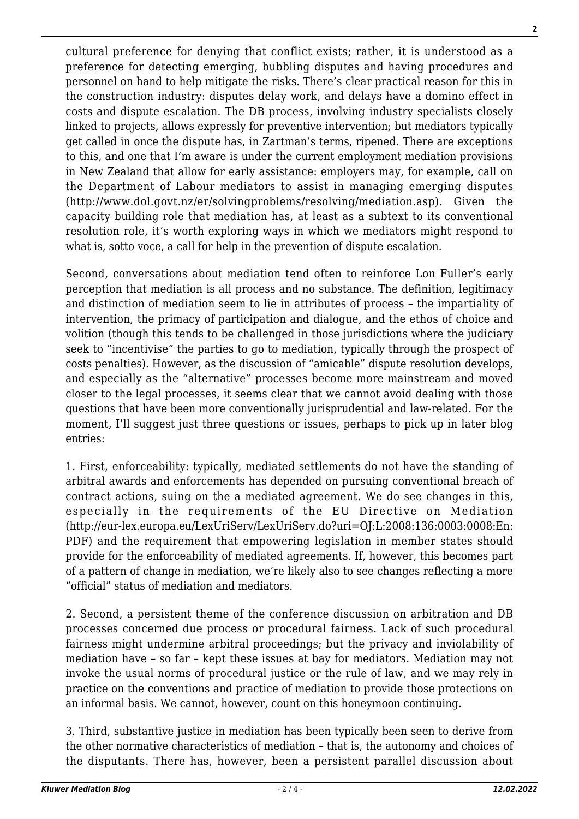cultural preference for denying that conflict exists; rather, it is understood as a preference for detecting emerging, bubbling disputes and having procedures and personnel on hand to help mitigate the risks. There's clear practical reason for this in the construction industry: disputes delay work, and delays have a domino effect in costs and dispute escalation. The DB process, involving industry specialists closely linked to projects, allows expressly for preventive intervention; but mediators typically get called in once the dispute has, in Zartman's terms, ripened. There are exceptions to this, and one that I'm aware is under the current employment mediation provisions in New Zealand that allow for early assistance: employers may, for example, call on the Department of Labour mediators to assist in managing emerging disputes (http://www.dol.govt.nz/er/solvingproblems/resolving/mediation.asp). Given the capacity building role that mediation has, at least as a subtext to its conventional resolution role, it's worth exploring ways in which we mediators might respond to what is, sotto voce, a call for help in the prevention of dispute escalation.

Second, conversations about mediation tend often to reinforce Lon Fuller's early perception that mediation is all process and no substance. The definition, legitimacy and distinction of mediation seem to lie in attributes of process – the impartiality of intervention, the primacy of participation and dialogue, and the ethos of choice and volition (though this tends to be challenged in those jurisdictions where the judiciary seek to "incentivise" the parties to go to mediation, typically through the prospect of costs penalties). However, as the discussion of "amicable" dispute resolution develops, and especially as the "alternative" processes become more mainstream and moved closer to the legal processes, it seems clear that we cannot avoid dealing with those questions that have been more conventionally jurisprudential and law-related. For the moment, I'll suggest just three questions or issues, perhaps to pick up in later blog entries:

1. First, enforceability: typically, mediated settlements do not have the standing of arbitral awards and enforcements has depended on pursuing conventional breach of contract actions, suing on the a mediated agreement. We do see changes in this, especially in the requirements of the EU Directive on Mediation (http://eur-lex.europa.eu/LexUriServ/LexUriServ.do?uri=OJ:L:2008:136:0003:0008:En: PDF) and the requirement that empowering legislation in member states should provide for the enforceability of mediated agreements. If, however, this becomes part of a pattern of change in mediation, we're likely also to see changes reflecting a more "official" status of mediation and mediators.

2. Second, a persistent theme of the conference discussion on arbitration and DB processes concerned due process or procedural fairness. Lack of such procedural fairness might undermine arbitral proceedings; but the privacy and inviolability of mediation have – so far – kept these issues at bay for mediators. Mediation may not invoke the usual norms of procedural justice or the rule of law, and we may rely in practice on the conventions and practice of mediation to provide those protections on an informal basis. We cannot, however, count on this honeymoon continuing.

3. Third, substantive justice in mediation has been typically been seen to derive from the other normative characteristics of mediation – that is, the autonomy and choices of the disputants. There has, however, been a persistent parallel discussion about

**2**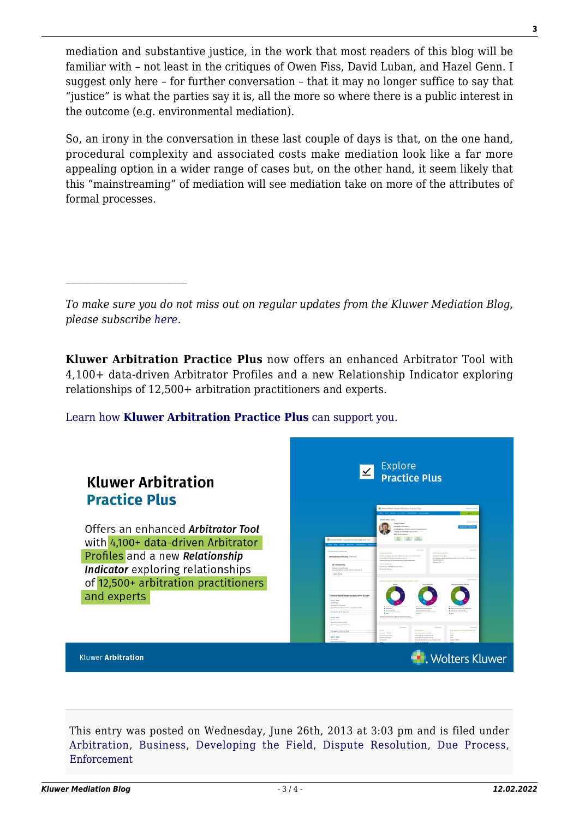mediation and substantive justice, in the work that most readers of this blog will be familiar with – not least in the critiques of Owen Fiss, David Luban, and Hazel Genn. I suggest only here – for further conversation – that it may no longer suffice to say that "justice" is what the parties say it is, all the more so where there is a public interest in the outcome (e.g. environmental mediation).

So, an irony in the conversation in these last couple of days is that, on the one hand, procedural complexity and associated costs make mediation look like a far more appealing option in a wider range of cases but, on the other hand, it seem likely that this "mainstreaming" of mediation will see mediation take on more of the attributes of formal processes.

*To make sure you do not miss out on regular updates from the Kluwer Mediation Blog, please subscribe [here.](http://mediationblog.kluwerarbitration.com/newsletter/)*

**Kluwer Arbitration Practice Plus** now offers an enhanced Arbitrator Tool with 4,100+ data-driven Arbitrator Profiles and a new Relationship Indicator exploring relationships of 12,500+ arbitration practitioners and experts.

## [Learn how](https://www.wolterskluwer.com/en/solutions/kluwerarbitration/practiceplus?utm_source=mediationblog&utm_medium=articleCTA&utm_campaign=article-banner) **[Kluwer Arbitration Practice Plus](https://www.wolterskluwer.com/en/solutions/kluwerarbitration/practiceplus?utm_source=mediationblog&utm_medium=articleCTA&utm_campaign=article-banner)** [can support you.](https://www.wolterskluwer.com/en/solutions/kluwerarbitration/practiceplus?utm_source=mediationblog&utm_medium=articleCTA&utm_campaign=article-banner)



This entry was posted on Wednesday, June 26th, 2013 at 3:03 pm and is filed under [Arbitration](http://mediationblog.kluwerarbitration.com/category/arbitration/), [Business,](http://mediationblog.kluwerarbitration.com/category/business/) [Developing the Field](http://mediationblog.kluwerarbitration.com/category/developing-the-field/), [Dispute Resolution,](http://mediationblog.kluwerarbitration.com/category/dispute-resolution/) [Due Process,](http://mediationblog.kluwerarbitration.com/category/due-process/) [Enforcement](http://mediationblog.kluwerarbitration.com/category/enforcement/)